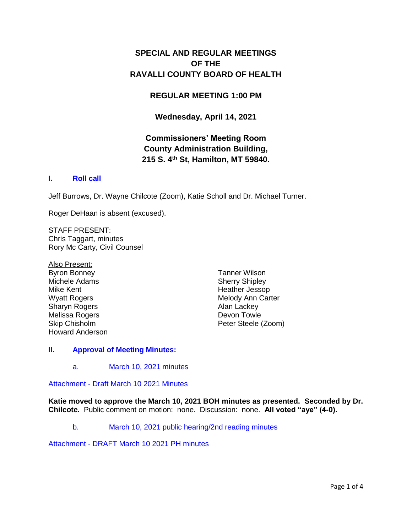# **SPECIAL AND REGULAR MEETINGS OF THE RAVALLI COUNTY BOARD OF HEALTH**

## **REGULAR MEETING 1:00 PM**

## **Wednesday, April 14, 2021**

# **Commissioners' Meeting Room County Administration Building, 215 S. 4th St, Hamilton, MT 59840.**

## **I. [Roll call](http://ravalli-mt.granicus.com/wordlinkreceiver.php?clip_id=97f42e41-842a-4961-ab0c-84b400fcadcc&meta_id=57843f68-9b78-4589-a41c-fe7b4390f642&time=0)**

Jeff Burrows, Dr. Wayne Chilcote (Zoom), Katie Scholl and Dr. Michael Turner.

Roger DeHaan is absent (excused).

STAFF PRESENT: Chris Taggart, minutes Rory Mc Carty, Civil Counsel

Also Present: Byron Bonney Michele Adams Mike Kent Wyatt Rogers Sharyn Rogers Melissa Rogers Skip Chisholm Howard Anderson

Tanner Wilson Sherry Shipley Heather Jessop Melody Ann Carter Alan Lackey Devon Towle Peter Steele (Zoom)

## **II. [Approval of Meeting Minutes:](http://ravalli-mt.granicus.com/wordlinkreceiver.php?clip_id=97f42e41-842a-4961-ab0c-84b400fcadcc&meta_id=cc190233-0fa3-4e08-9c21-5e6f72c3b061&time=20)**

a. [March 10, 2021 minutes](http://ravalli-mt.granicus.com/wordlinkreceiver.php?clip_id=97f42e41-842a-4961-ab0c-84b400fcadcc&meta_id=8d5431c3-383d-449d-8588-109a9bc1b316&time=25)

Attachment - [Draft March 10 2021 Minutes](http://ravalli-mt.granicus.com/DocumentViewer.php?file=ravalli-mt_b37b849d7561d193a6ac4e43e2f74de5.pdf)

**Katie moved to approve the March 10, 2021 BOH minutes as presented. Seconded by Dr. Chilcote.** Public comment on motion: none. Discussion: none. **All voted "aye" (4-0).**

b. [March 10, 2021 public hearing/2nd reading minutes](http://ravalli-mt.granicus.com/wordlinkreceiver.php?clip_id=97f42e41-842a-4961-ab0c-84b400fcadcc&meta_id=a1e8d4ba-64c4-460d-ab91-d27deee873f7&time=54)

Attachment - [DRAFT March 10 2021 PH minutes](http://ravalli-mt.granicus.com/DocumentViewer.php?file=ravalli-mt_af367ca76d1a3494ecac36b8c79ff8d5.pdf)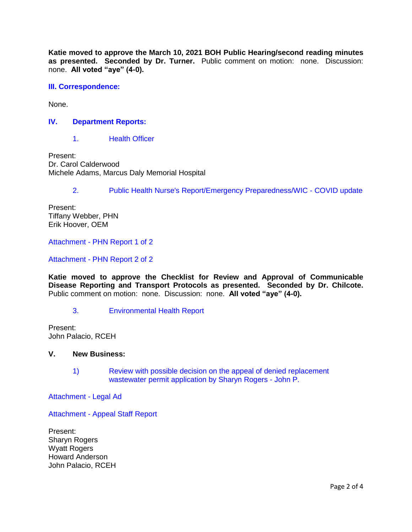**Katie moved to approve the March 10, 2021 BOH Public Hearing/second reading minutes as presented. Seconded by Dr. Turner.** Public comment on motion: none. Discussion: none. **All voted "aye" (4-0).**

### **[III. Correspondence:](http://ravalli-mt.granicus.com/wordlinkreceiver.php?clip_id=97f42e41-842a-4961-ab0c-84b400fcadcc&meta_id=72a60724-a76b-45d2-b931-633cf0ec1f00&time=112)**

None.

### **IV. [Department Reports:](http://ravalli-mt.granicus.com/wordlinkreceiver.php?clip_id=97f42e41-842a-4961-ab0c-84b400fcadcc&meta_id=9e3f5fc1-5327-4c60-af64-991d733649a1&time=120)**

1. [Health Officer](http://ravalli-mt.granicus.com/wordlinkreceiver.php?clip_id=97f42e41-842a-4961-ab0c-84b400fcadcc&meta_id=6663b246-2e78-4761-ba51-75f5b2af7067&time=123)

Present: Dr. Carol Calderwood Michele Adams, Marcus Daly Memorial Hospital

2. [Public Health Nurse's Report/Emergency Preparedness/WIC -](http://ravalli-mt.granicus.com/wordlinkreceiver.php?clip_id=97f42e41-842a-4961-ab0c-84b400fcadcc&meta_id=4fcb6eec-d874-4384-8823-4fea58582c31&time=1591) COVID update

Present: Tiffany Webber, PHN Erik Hoover, OEM

Attachment - [PHN Report 1 of 2](http://ravalli-mt.granicus.com/DocumentViewer.php?file=ravalli-mt_4290c321eb1d629c061dd6715930f5bc.pdf)

Attachment - [PHN Report 2 of 2](http://ravalli-mt.granicus.com/DocumentViewer.php?file=ravalli-mt_0de6c93e781b94f7851e7cceb6affba4.pdf)

**Katie moved to approve the Checklist for Review and Approval of Communicable Disease Reporting and Transport Protocols as presented. Seconded by Dr. Chilcote.** Public comment on motion: none. Discussion: none. **All voted "aye" (4-0).**

#### 3. [Environmental Health Report](http://ravalli-mt.granicus.com/wordlinkreceiver.php?clip_id=97f42e41-842a-4961-ab0c-84b400fcadcc&meta_id=cdee054d-c325-432f-973b-7f0058e08ba4&time=3541)

Present: John Palacio, RCEH

#### **V. New Business:**

1) [Review with possible decision on the appeal of denied replacement](http://ravalli-mt.granicus.com/wordlinkreceiver.php?clip_id=97f42e41-842a-4961-ab0c-84b400fcadcc&meta_id=bb1f0db3-3d53-460d-a896-e6982a6a1e21&time=3708)  [wastewater permit application by Sharyn Rogers -](http://ravalli-mt.granicus.com/wordlinkreceiver.php?clip_id=97f42e41-842a-4961-ab0c-84b400fcadcc&meta_id=bb1f0db3-3d53-460d-a896-e6982a6a1e21&time=3708) John P.

[Attachment -](http://ravalli-mt.granicus.com/DocumentViewer.php?file=ravalli-mt_0b0cc153320e22270c961224b7d36afe.pdf) Legal Ad

Attachment - [Appeal Staff Report](http://ravalli-mt.granicus.com/DocumentViewer.php?file=ravalli-mt_8f110365b4daed5aaf7e72b6cf619f94.pdf)

Present: Sharyn Rogers Wyatt Rogers Howard Anderson John Palacio, RCEH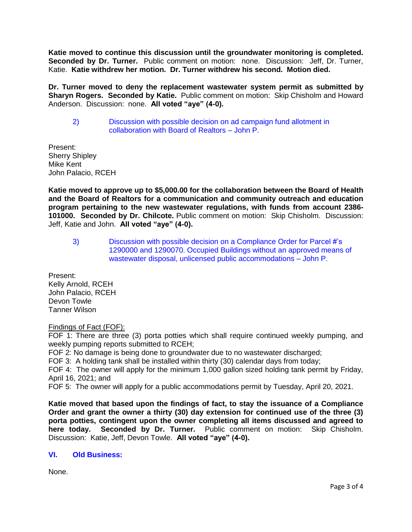**Katie moved to continue this discussion until the groundwater monitoring is completed. Seconded by Dr. Turner.** Public comment on motion: none. Discussion: Jeff, Dr. Turner, Katie. **Katie withdrew her motion. Dr. Turner withdrew his second. Motion died.**

**Dr. Turner moved to deny the replacement wastewater system permit as submitted by Sharyn Rogers. Seconded by Katie.** Public comment on motion: Skip Chisholm and Howard Anderson. Discussion: none. **All voted "aye" (4-0).**

2) [Discussion with possible decision on ad campaign fund allotment in](http://ravalli-mt.granicus.com/wordlinkreceiver.php?clip_id=97f42e41-842a-4961-ab0c-84b400fcadcc&meta_id=59880f37-5f53-47a1-b9e3-0181dfa9d9f3&time=6887)  [collaboration with Board of Realtors –](http://ravalli-mt.granicus.com/wordlinkreceiver.php?clip_id=97f42e41-842a-4961-ab0c-84b400fcadcc&meta_id=59880f37-5f53-47a1-b9e3-0181dfa9d9f3&time=6887) John P.

Present: Sherry Shipley Mike Kent John Palacio, RCEH

**Katie moved to approve up to \$5,000.00 for the collaboration between the Board of Health and the Board of Realtors for a communication and community outreach and education program pertaining to the new wastewater regulations, with funds from account 2386- 101000. Seconded by Dr. Chilcote.** Public comment on motion: Skip Chisholm. Discussion: Jeff, Katie and John. **All voted "aye" (4-0).**

3) [Discussion with possible decision on a Compliance Order for Parcel #'s](http://ravalli-mt.granicus.com/wordlinkreceiver.php?clip_id=97f42e41-842a-4961-ab0c-84b400fcadcc&meta_id=faabfcde-684d-425b-852f-8d8c1de1ed4d&time=8157)  [1290000 and 1290070. Occupied Buildings without an approved means of](http://ravalli-mt.granicus.com/wordlinkreceiver.php?clip_id=97f42e41-842a-4961-ab0c-84b400fcadcc&meta_id=faabfcde-684d-425b-852f-8d8c1de1ed4d&time=8157)  [wastewater disposal, unlicensed public accommodations –](http://ravalli-mt.granicus.com/wordlinkreceiver.php?clip_id=97f42e41-842a-4961-ab0c-84b400fcadcc&meta_id=faabfcde-684d-425b-852f-8d8c1de1ed4d&time=8157) John P.

Present: Kelly Arnold, RCEH John Palacio, RCEH Devon Towle Tanner Wilson

Findings of Fact (FOF):

FOF 1: There are three (3) porta potties which shall require continued weekly pumping, and weekly pumping reports submitted to RCEH;

FOF 2: No damage is being done to groundwater due to no wastewater discharged;

FOF 3: A holding tank shall be installed within thirty (30) calendar days from today;

FOF 4: The owner will apply for the minimum 1,000 gallon sized holding tank permit by Friday, April 16, 2021; and

FOF 5: The owner will apply for a public accommodations permit by Tuesday, April 20, 2021.

**Katie moved that based upon the findings of fact, to stay the issuance of a Compliance Order and grant the owner a thirty (30) day extension for continued use of the three (3) porta potties, contingent upon the owner completing all items discussed and agreed to here today. Seconded by Dr. Turner.** Public comment on motion: Skip Chisholm. Discussion: Katie, Jeff, Devon Towle. **All voted "aye" (4-0).**

## **VI. [Old Business:](http://ravalli-mt.granicus.com/wordlinkreceiver.php?clip_id=97f42e41-842a-4961-ab0c-84b400fcadcc&meta_id=deb9c821-aa07-4fec-9c53-79ebd6453f51&time=11635)**

None.